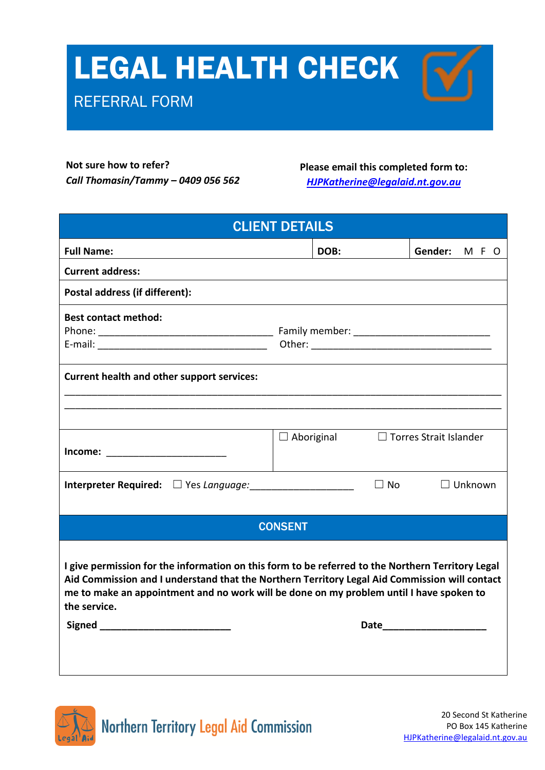## LEGAL HEALTH CHECK

## REFERRAL FORM

**Not sure how to refer?** *Call Thomasin/Tammy – 0409 056 562*

**Please email this completed form to:**

*[HJPKatherine@legalaid.nt.gov.au](mailto:HJPKatherine@legalaid.nt.gov.au)*

| <b>CLIENT DETAILS</b>                                                                                                                                                                                                                                                                                                                               |                   |                             |  |  |
|-----------------------------------------------------------------------------------------------------------------------------------------------------------------------------------------------------------------------------------------------------------------------------------------------------------------------------------------------------|-------------------|-----------------------------|--|--|
| <b>Full Name:</b>                                                                                                                                                                                                                                                                                                                                   | DOB:              | Gender:<br>MF O             |  |  |
| <b>Current address:</b>                                                                                                                                                                                                                                                                                                                             |                   |                             |  |  |
| Postal address (if different):                                                                                                                                                                                                                                                                                                                      |                   |                             |  |  |
| <b>Best contact method:</b>                                                                                                                                                                                                                                                                                                                         |                   |                             |  |  |
| <b>Current health and other support services:</b>                                                                                                                                                                                                                                                                                                   |                   |                             |  |  |
|                                                                                                                                                                                                                                                                                                                                                     |                   |                             |  |  |
|                                                                                                                                                                                                                                                                                                                                                     |                   |                             |  |  |
| Income: ________________________                                                                                                                                                                                                                                                                                                                    | $\Box$ Aboriginal | □ Torres Strait Islander    |  |  |
| <b>Interpreter Required:</b> $\Box$ Yes Language:                                                                                                                                                                                                                                                                                                   |                   | $\Box$ No<br>$\Box$ Unknown |  |  |
|                                                                                                                                                                                                                                                                                                                                                     |                   |                             |  |  |
|                                                                                                                                                                                                                                                                                                                                                     | <b>CONSENT</b>    |                             |  |  |
| I give permission for the information on this form to be referred to the Northern Territory Legal<br>Aid Commission and I understand that the Northern Territory Legal Aid Commission will contact<br>me to make an appointment and no work will be done on my problem until I have spoken to<br>the service.<br>Signed ___________________________ |                   |                             |  |  |

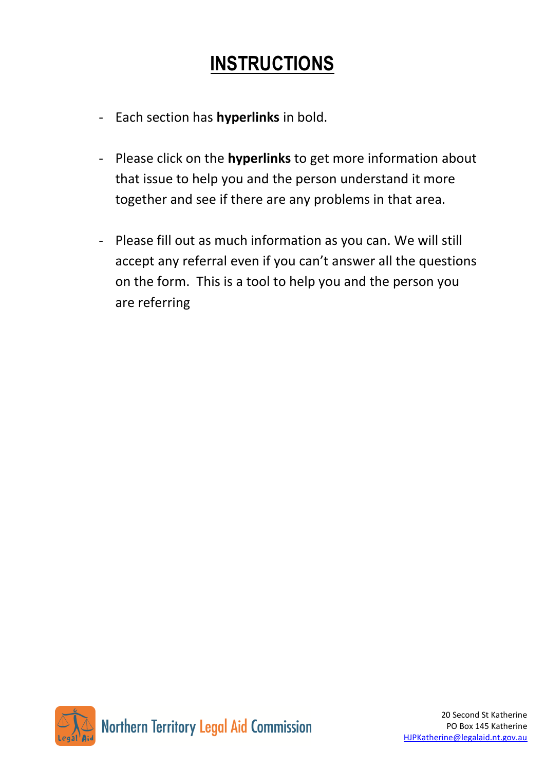## **INSTRUCTIONS**

- Each section has **hyperlinks** in bold.
- Please click on the **hyperlinks** to get more information about that issue to help you and the person understand it more together and see if there are any problems in that area.
- Please fill out as much information as you can. We will still accept any referral even if you can't answer all the questions on the form. This is a tool to help you and the person you are referring

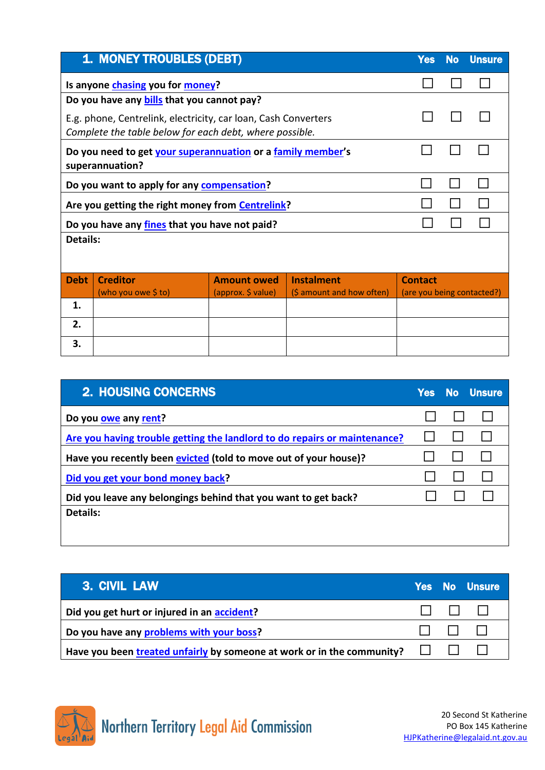|                 | <b>1. MONEY TROUBLES (DEBT)</b>                                                                                           |                    |                           | <b>Yes</b>                 | <b>No</b> | <b>Unsure</b> |
|-----------------|---------------------------------------------------------------------------------------------------------------------------|--------------------|---------------------------|----------------------------|-----------|---------------|
|                 | Is anyone chasing you for money?                                                                                          |                    |                           |                            |           |               |
|                 | Do you have any <b>bills</b> that you cannot pay?                                                                         |                    |                           |                            |           |               |
|                 | E.g. phone, Centrelink, electricity, car loan, Cash Converters<br>Complete the table below for each debt, where possible. |                    |                           |                            |           |               |
|                 | Do you need to get your superannuation or a family member's<br>superannuation?                                            |                    |                           |                            |           |               |
|                 | Do you want to apply for any compensation?                                                                                |                    |                           |                            |           |               |
|                 | Are you getting the right money from <b>Centrelink?</b>                                                                   |                    |                           |                            |           |               |
|                 | Do you have any fines that you have not paid?                                                                             |                    |                           |                            |           |               |
| <b>Details:</b> |                                                                                                                           |                    |                           |                            |           |               |
| <b>Debt</b>     | <b>Creditor</b>                                                                                                           | <b>Amount owed</b> | <b>Instalment</b>         | <b>Contact</b>             |           |               |
|                 | (who you owe \$ to)                                                                                                       | (approx. \$ value) | (\$ amount and how often) | (are you being contacted?) |           |               |
| 1.              |                                                                                                                           |                    |                           |                            |           |               |
| 2.              |                                                                                                                           |                    |                           |                            |           |               |
| 3.              |                                                                                                                           |                    |                           |                            |           |               |

| <b>2. HOUSING CONCERNS</b>                                                | <b>Yes</b> | <b>No Unsure</b> |
|---------------------------------------------------------------------------|------------|------------------|
| Do you owe any rent?                                                      |            |                  |
| Are you having trouble getting the landlord to do repairs or maintenance? |            |                  |
| Have you recently been evicted (told to move out of your house)?          |            |                  |
| Did you get your bond money back?                                         |            |                  |
| Did you leave any belongings behind that you want to get back?            |            |                  |
| Details:                                                                  |            |                  |
|                                                                           |            |                  |

| 3. CIVIL LAW                                                                         |   | <b>Yes No Unsure</b> |
|--------------------------------------------------------------------------------------|---|----------------------|
| Did you get hurt or injured in an accident?                                          |   | .                    |
| Do you have any problems with your boss?                                             | . |                      |
| Have you been treated unfairly by someone at work or in the community? $\Box$ $\Box$ |   |                      |

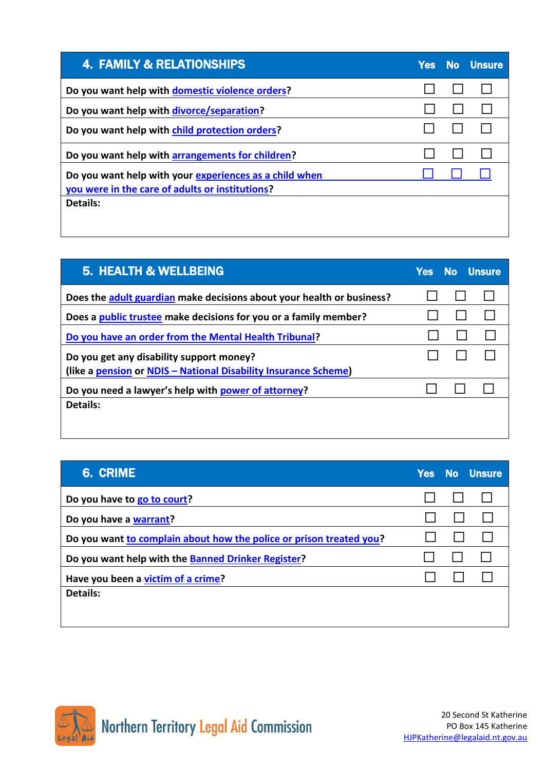| <b>4. FAMILY &amp; RELATIONSHIPS</b>                                                                      | <b>Yes</b> | <b>No</b> Unsure |
|-----------------------------------------------------------------------------------------------------------|------------|------------------|
| Do you want help with domestic violence orders?                                                           |            |                  |
| Do you want help with divorce/separation?                                                                 |            |                  |
| Do you want help with child protection orders?                                                            |            |                  |
| Do you want help with arrangements for children?                                                          |            |                  |
| Do you want help with your experiences as a child when<br>you were in the care of adults or institutions? |            |                  |
| Details:                                                                                                  |            |                  |

| <b>5. HEALTH &amp; WELLBEING</b>                                      | <b>Yes</b> | No Unsure |  |
|-----------------------------------------------------------------------|------------|-----------|--|
| Does the adult guardian make decisions about your health or business? |            |           |  |
| Does a public trustee make decisions for you or a family member?      |            |           |  |
| Do you have an order from the Mental Health Tribunal?                 |            |           |  |
| Do you get any disability support money?                              |            |           |  |
| (like a pension or NDIS - National Disability Insurance Scheme)       |            |           |  |
| Do you need a lawyer's help with power of attorney?                   |            |           |  |
| Details:                                                              |            |           |  |
|                                                                       |            |           |  |

| <b>6. CRIME</b>                                                     |  | Yes No Unsure |
|---------------------------------------------------------------------|--|---------------|
| Do you have to go to court?                                         |  |               |
| Do you have a warrant?                                              |  |               |
| Do you want to complain about how the police or prison treated you? |  |               |
| Do you want help with the Banned Drinker Register?                  |  |               |
| Have you been a victim of a crime?                                  |  |               |
| <b>Details:</b>                                                     |  |               |
|                                                                     |  |               |



 $\overline{\phantom{a}}$